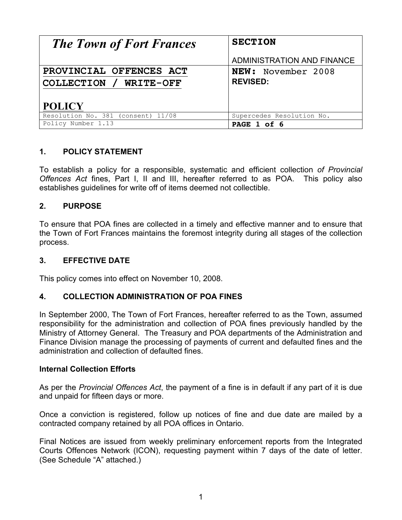| <b>The Town of Fort Frances</b>                                    | <b>SECTION</b>                               |
|--------------------------------------------------------------------|----------------------------------------------|
|                                                                    | ADMINISTRATION AND FINANCE                   |
| PROVINCIAL OFFENCES ACT<br>COLLECTION / WRITE-OFF<br><b>POLICY</b> | <b>NEW:</b> November 2008<br><b>REVISED:</b> |
| Resolution No. 381 (consent) 11/08                                 | Supercedes Resolution No.                    |
| Policy Number 1.13                                                 | PAGE 1 of 6                                  |

# **1. POLICY STATEMENT**

To establish a policy for a responsible, systematic and efficient collection *of Provincial Offences Act* fines, Part I, II and III, hereafter referred to as POA. This policy also establishes guidelines for write off of items deemed not collectible.

# **2. PURPOSE**

To ensure that POA fines are collected in a timely and effective manner and to ensure that the Town of Fort Frances maintains the foremost integrity during all stages of the collection process.

## **3. EFFECTIVE DATE**

This policy comes into effect on November 10, 2008.

#### **4. COLLECTION ADMINISTRATION OF POA FINES**

In September 2000, The Town of Fort Frances, hereafter referred to as the Town, assumed responsibility for the administration and collection of POA fines previously handled by the Ministry of Attorney General. The Treasury and POA departments of the Administration and Finance Division manage the processing of payments of current and defaulted fines and the administration and collection of defaulted fines.

#### **Internal Collection Efforts**

As per the *Provincial Offences Act*, the payment of a fine is in default if any part of it is due and unpaid for fifteen days or more.

Once a conviction is registered, follow up notices of fine and due date are mailed by a contracted company retained by all POA offices in Ontario.

Final Notices are issued from weekly preliminary enforcement reports from the Integrated Courts Offences Network (ICON), requesting payment within 7 days of the date of letter. (See Schedule "A" attached.)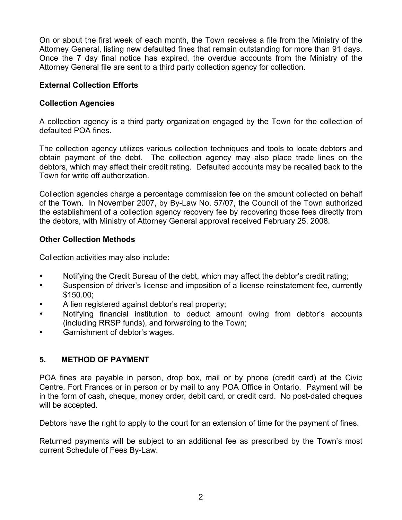On or about the first week of each month, the Town receives a file from the Ministry of the Attorney General, listing new defaulted fines that remain outstanding for more than 91 days. Once the 7 day final notice has expired, the overdue accounts from the Ministry of the Attorney General file are sent to a third party collection agency for collection.

#### **External Collection Efforts**

#### **Collection Agencies**

A collection agency is a third party organization engaged by the Town for the collection of defaulted POA fines.

The collection agency utilizes various collection techniques and tools to locate debtors and obtain payment of the debt. The collection agency may also place trade lines on the debtors, which may affect their credit rating. Defaulted accounts may be recalled back to the Town for write off authorization.

Collection agencies charge a percentage commission fee on the amount collected on behalf of the Town. In November 2007, by By-Law No. 57/07, the Council of the Town authorized the establishment of a collection agency recovery fee by recovering those fees directly from the debtors, with Ministry of Attorney General approval received February 25, 2008.

#### **Other Collection Methods**

Collection activities may also include:

- Notifying the Credit Bureau of the debt, which may affect the debtor's credit rating;
- Suspension of driver's license and imposition of a license reinstatement fee, currently \$150.00;
- A lien registered against debtor's real property;
- Notifying financial institution to deduct amount owing from debtor's accounts (including RRSP funds), and forwarding to the Town;
- Garnishment of debtor's wages.

## **5. METHOD OF PAYMENT**

POA fines are payable in person, drop box, mail or by phone (credit card) at the Civic Centre, Fort Frances or in person or by mail to any POA Office in Ontario. Payment will be in the form of cash, cheque, money order, debit card, or credit card. No post-dated cheques will be accepted.

Debtors have the right to apply to the court for an extension of time for the payment of fines.

Returned payments will be subject to an additional fee as prescribed by the Town's most current Schedule of Fees By-Law.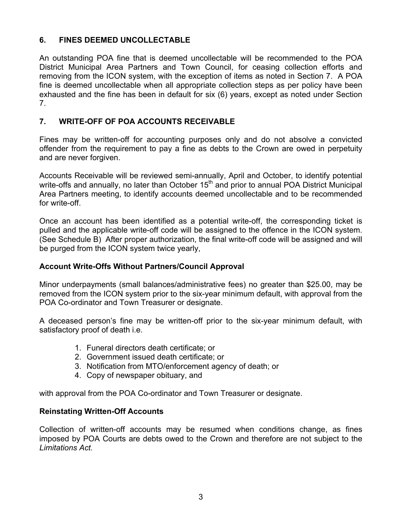## **6. FINES DEEMED UNCOLLECTABLE**

An outstanding POA fine that is deemed uncollectable will be recommended to the POA District Municipal Area Partners and Town Council, for ceasing collection efforts and removing from the ICON system, with the exception of items as noted in Section 7. A POA fine is deemed uncollectable when all appropriate collection steps as per policy have been exhausted and the fine has been in default for six (6) years, except as noted under Section 7.

# **7. WRITE-OFF OF POA ACCOUNTS RECEIVABLE**

Fines may be written-off for accounting purposes only and do not absolve a convicted offender from the requirement to pay a fine as debts to the Crown are owed in perpetuity and are never forgiven.

Accounts Receivable will be reviewed semi-annually, April and October, to identify potential write-offs and annually, no later than October  $15<sup>th</sup>$  and prior to annual POA District Municipal Area Partners meeting, to identify accounts deemed uncollectable and to be recommended for write-off.

Once an account has been identified as a potential write-off, the corresponding ticket is pulled and the applicable write-off code will be assigned to the offence in the ICON system. (See Schedule B) After proper authorization, the final write-off code will be assigned and will be purged from the ICON system twice yearly,

## **Account Write-Offs Without Partners/Council Approval**

Minor underpayments (small balances/administrative fees) no greater than \$25.00, may be removed from the ICON system prior to the six-year minimum default, with approval from the POA Co-ordinator and Town Treasurer or designate.

A deceased person's fine may be written-off prior to the six-year minimum default, with satisfactory proof of death i.e.

- 1. Funeral directors death certificate; or
- 2. Government issued death certificate; or
- 3. Notification from MTO/enforcement agency of death; or
- 4. Copy of newspaper obituary, and

with approval from the POA Co-ordinator and Town Treasurer or designate.

## **Reinstating Written-Off Accounts**

Collection of written-off accounts may be resumed when conditions change, as fines imposed by POA Courts are debts owed to the Crown and therefore are not subject to the *Limitations Act.*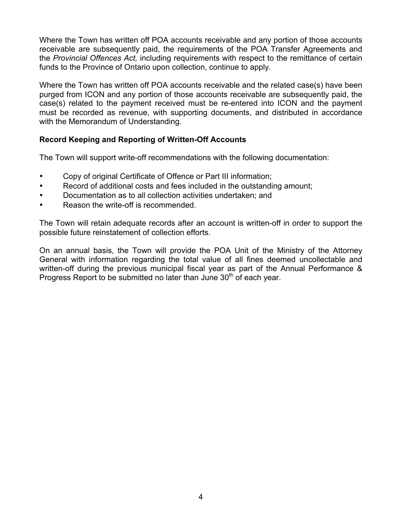Where the Town has written off POA accounts receivable and any portion of those accounts receivable are subsequently paid, the requirements of the POA Transfer Agreements and the *Provincial Offences Act,* including requirements with respect to the remittance of certain funds to the Province of Ontario upon collection, continue to apply.

Where the Town has written off POA accounts receivable and the related case(s) have been purged from ICON and any portion of those accounts receivable are subsequently paid, the case(s) related to the payment received must be re-entered into ICON and the payment must be recorded as revenue, with supporting documents, and distributed in accordance with the Memorandum of Understanding.

## **Record Keeping and Reporting of Written-Off Accounts**

The Town will support write-off recommendations with the following documentation:

- Copy of original Certificate of Offence or Part III information;
- Record of additional costs and fees included in the outstanding amount;
- Documentation as to all collection activities undertaken; and
- Reason the write-off is recommended.

The Town will retain adequate records after an account is written-off in order to support the possible future reinstatement of collection efforts.

On an annual basis, the Town will provide the POA Unit of the Ministry of the Attorney General with information regarding the total value of all fines deemed uncollectable and written-off during the previous municipal fiscal year as part of the Annual Performance & Progress Report to be submitted no later than June 30<sup>th</sup> of each year.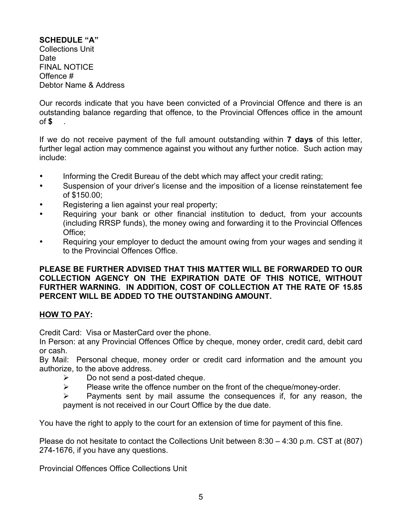## **SCHEDULE "A"**

Collections Unit Date FINAL NOTICE Offence # Debtor Name & Address

Our records indicate that you have been convicted of a Provincial Offence and there is an outstanding balance regarding that offence, to the Provincial Offences office in the amount of **\$** .

If we do not receive payment of the full amount outstanding within **7 days** of this letter, further legal action may commence against you without any further notice. Such action may include:

- Informing the Credit Bureau of the debt which may affect your credit rating;
- Suspension of your driver's license and the imposition of a license reinstatement fee of \$150.00;
- Registering a lien against your real property;
- Requiring your bank or other financial institution to deduct, from your accounts (including RRSP funds), the money owing and forwarding it to the Provincial Offences Office;
- Requiring your employer to deduct the amount owing from your wages and sending it to the Provincial Offences Office.

#### **PLEASE BE FURTHER ADVISED THAT THIS MATTER WILL BE FORWARDED TO OUR COLLECTION AGENCY ON THE EXPIRATION DATE OF THIS NOTICE, WITHOUT FURTHER WARNING. IN ADDITION, COST OF COLLECTION AT THE RATE OF 15.85 PERCENT WILL BE ADDED TO THE OUTSTANDING AMOUNT.**

## **HOW TO PAY:**

Credit Card: Visa or MasterCard over the phone.

In Person: at any Provincial Offences Office by cheque, money order, credit card, debit card or cash.

By Mail: Personal cheque, money order or credit card information and the amount you authorize, to the above address.

- $\triangleright$  Do not send a post-dated cheque.
- $\triangleright$  Please write the offence number on the front of the cheque/money-order.
- $\triangleright$  Payments sent by mail assume the consequences if, for any reason, the payment is not received in our Court Office by the due date.

You have the right to apply to the court for an extension of time for payment of this fine.

Please do not hesitate to contact the Collections Unit between 8:30 – 4:30 p.m. CST at (807) 274-1676, if you have any questions.

Provincial Offences Office Collections Unit